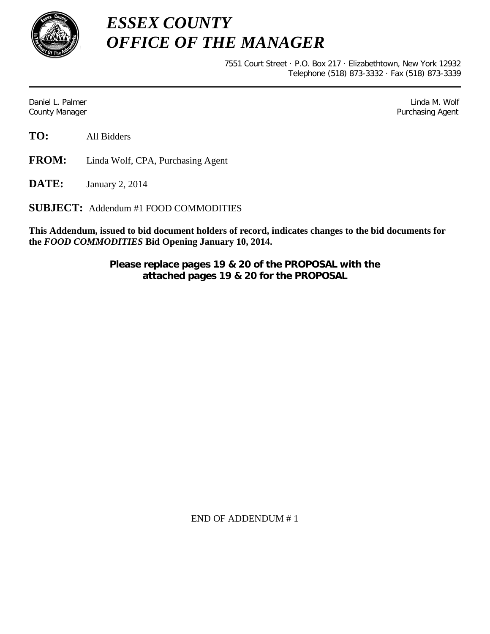

*ESSEX COUNTY OFFICE OF THE MANAGER*

> 7551 Court Street · P.O. Box 217 · Elizabethtown, New York 12932 Telephone (518) 873-3332 · Fax (518) 873-3339

Daniel L. Palmer Later and the control of the control of the control of the control of the control of the control of the control of the control of the control of the control of the control of the control of the control of County Manager Purchasing Agent

**TO:** All Bidders

**FROM:** Linda Wolf, CPA, Purchasing Agent

**DATE:** January 2, 2014

**SUBJECT:** Addendum #1 FOOD COMMODITIES

**This Addendum, issued to bid document holders of record, indicates changes to the bid documents for the** *FOOD COMMODITIES* **Bid Opening January 10, 2014.**

> **Please replace pages 19 & 20 of the PROPOSAL with the attached pages 19 & 20 for the PROPOSAL**

> > END OF ADDENDUM # 1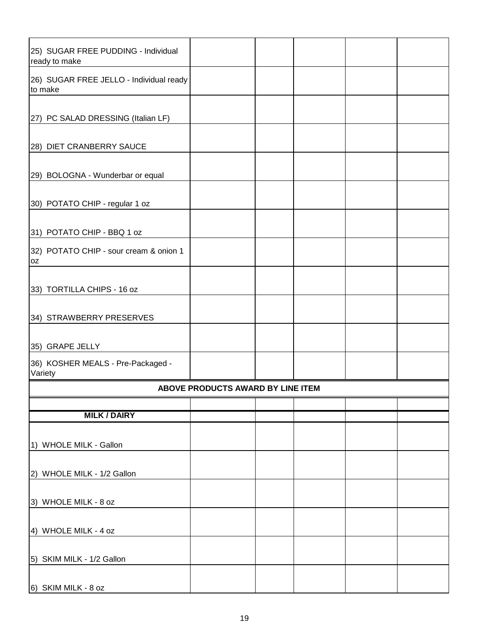| 25) SUGAR FREE PUDDING - Individual<br>ready to make |  |  |  |  |  |  |  |
|------------------------------------------------------|--|--|--|--|--|--|--|
| 26) SUGAR FREE JELLO - Individual ready<br>to make   |  |  |  |  |  |  |  |
|                                                      |  |  |  |  |  |  |  |
| [27] PC SALAD DRESSING (Italian LF)                  |  |  |  |  |  |  |  |
| 28) DIET CRANBERRY SAUCE                             |  |  |  |  |  |  |  |
| 29) BOLOGNA - Wunderbar or equal                     |  |  |  |  |  |  |  |
| 30) POTATO CHIP - regular 1 oz                       |  |  |  |  |  |  |  |
| 31) POTATO CHIP - BBQ 1 oz                           |  |  |  |  |  |  |  |
| 32) POTATO CHIP - sour cream & onion 1<br>0Z         |  |  |  |  |  |  |  |
| 33) TORTILLA CHIPS - 16 oz                           |  |  |  |  |  |  |  |
| 34) STRAWBERRY PRESERVES                             |  |  |  |  |  |  |  |
| 35) GRAPE JELLY                                      |  |  |  |  |  |  |  |
| 36) KOSHER MEALS - Pre-Packaged -<br>Variety         |  |  |  |  |  |  |  |
| ABOVE PRODUCTS AWARD BY LINE ITEM                    |  |  |  |  |  |  |  |
| <b>MILK / DAIRY</b>                                  |  |  |  |  |  |  |  |
|                                                      |  |  |  |  |  |  |  |
| 1) WHOLE MILK - Gallon                               |  |  |  |  |  |  |  |
| 2) WHOLE MILK - 1/2 Gallon                           |  |  |  |  |  |  |  |
| 3) WHOLE MILK - 8 oz                                 |  |  |  |  |  |  |  |
| 4) WHOLE MILK - 4 oz                                 |  |  |  |  |  |  |  |
| 5) SKIM MILK - 1/2 Gallon                            |  |  |  |  |  |  |  |
| 6) SKIM MILK - 8 oz                                  |  |  |  |  |  |  |  |